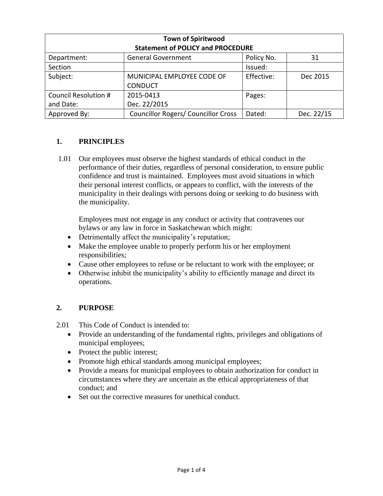| <b>Town of Spiritwood</b><br><b>Statement of POLICY and PROCEDURE</b> |                                            |            |            |
|-----------------------------------------------------------------------|--------------------------------------------|------------|------------|
| Department:                                                           | <b>General Government</b>                  | Policy No. | 31         |
| Section                                                               |                                            | Issued:    |            |
| Subject:                                                              | MUNICIPAL EMPLOYEE CODE OF                 | Effective: | Dec 2015   |
|                                                                       | <b>CONDUCT</b>                             |            |            |
| Council Resolution #                                                  | 2015-0413                                  | Pages:     |            |
| and Date:                                                             | Dec. 22/2015                               |            |            |
| Approved By:                                                          | <b>Councillor Rogers/ Councillor Cross</b> | Dated:     | Dec. 22/15 |

## **1. PRINCIPLES**

1.01 Our employees must observe the highest standards of ethical conduct in the performance of their duties, regardless of personal consideration, to ensure public confidence and trust is maintained. Employees must avoid situations in which their personal interest conflicts, or appears to conflict, with the interests of the municipality in their dealings with persons doing or seeking to do business with the municipality.

Employees must not engage in any conduct or activity that contravenes our bylaws or any law in force in Saskatchewan which might:

- Detrimentally affect the municipality's reputation;
- Make the employee unable to properly perform his or her employment responsibilities;
- Cause other employees to refuse or be reluctant to work with the employee; or
- Otherwise inhibit the municipality's ability to efficiently manage and direct its operations.

## **2. PURPOSE**

2.01 This Code of Conduct is intended to:

- Provide an understanding of the fundamental rights, privileges and obligations of municipal employees;
- Protect the public interest;
- Promote high ethical standards among municipal employees;
- Provide a means for municipal employees to obtain authorization for conduct in circumstances where they are uncertain as the ethical appropriateness of that conduct; and
- Set out the corrective measures for unethical conduct.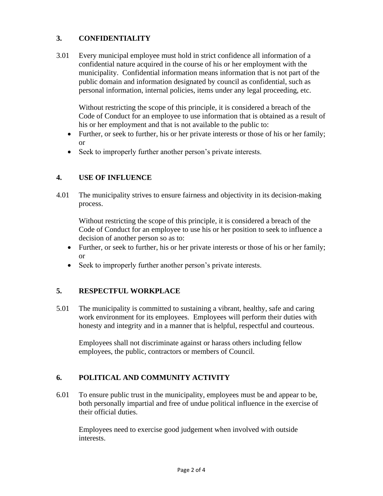# **3. CONFIDENTIALITY**

3.01 Every municipal employee must hold in strict confidence all information of a confidential nature acquired in the course of his or her employment with the municipality. Confidential information means information that is not part of the public domain and information designated by council as confidential, such as personal information, internal policies, items under any legal proceeding, etc.

Without restricting the scope of this principle, it is considered a breach of the Code of Conduct for an employee to use information that is obtained as a result of his or her employment and that is not available to the public to:

- Further, or seek to further, his or her private interests or those of his or her family; or
- Seek to improperly further another person's private interests.

## **4. USE OF INFLUENCE**

4.01 The municipality strives to ensure fairness and objectivity in its decision-making process.

Without restricting the scope of this principle, it is considered a breach of the Code of Conduct for an employee to use his or her position to seek to influence a decision of another person so as to:

- Further, or seek to further, his or her private interests or those of his or her family; or
- Seek to improperly further another person's private interests.

## **5. RESPECTFUL WORKPLACE**

5.01 The municipality is committed to sustaining a vibrant, healthy, safe and caring work environment for its employees. Employees will perform their duties with honesty and integrity and in a manner that is helpful, respectful and courteous.

Employees shall not discriminate against or harass others including fellow employees, the public, contractors or members of Council.

# **6. POLITICAL AND COMMUNITY ACTIVITY**

6.01 To ensure public trust in the municipality, employees must be and appear to be, both personally impartial and free of undue political influence in the exercise of their official duties.

Employees need to exercise good judgement when involved with outside interests.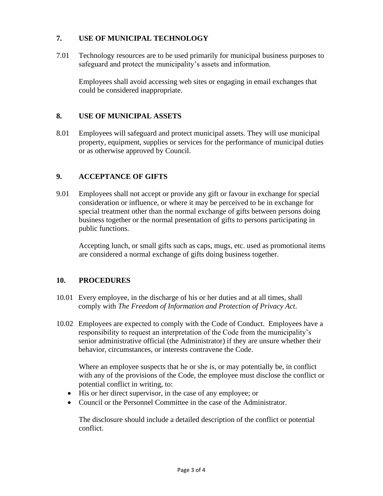### **7. USE OF MUNICIPAL TECHNOLOGY**

7.01 Technology resources are to be used primarily for municipal business purposes to safeguard and protect the municipality's assets and information.

Employees shall avoid accessing web sites or engaging in email exchanges that could be considered inappropriate.

#### **8. USE OF MUNICIPAL ASSETS**

8.01 Employees will safeguard and protect municipal assets. They will use municipal property, equipment, supplies or services for the performance of municipal duties or as otherwise approved by Council.

### **9. ACCEPTANCE OF GIFTS**

9.01 Employees shall not accept or provide any gift or favour in exchange for special consideration or influence, or where it may be perceived to be in exchange for special treatment other than the normal exchange of gifts between persons doing business together or the normal presentation of gifts to persons participating in public functions.

Accepting lunch, or small gifts such as caps, mugs, etc. used as promotional items are considered a normal exchange of gifts doing business together.

### **10. PROCEDURES**

- 10.01 Every employee, in the discharge of his or her duties and at all times, shall comply with *The Freedom of Information and Protection of Privacy Act*.
- 10.02 Employees are expected to comply with the Code of Conduct. Employees have a responsibility to request an interpretation of the Code from the municipality's senior administrative official (the Administrator) if they are unsure whether their behavior, circumstances, or interests contravene the Code.

Where an employee suspects that he or she is, or may potentially be, in conflict with any of the provisions of the Code, the employee must disclose the conflict or potential conflict in writing, to:

- His or her direct supervisor, in the case of any employee; or
- Council or the Personnel Committee in the case of the Administrator.

The disclosure should include a detailed description of the conflict or potential conflict.